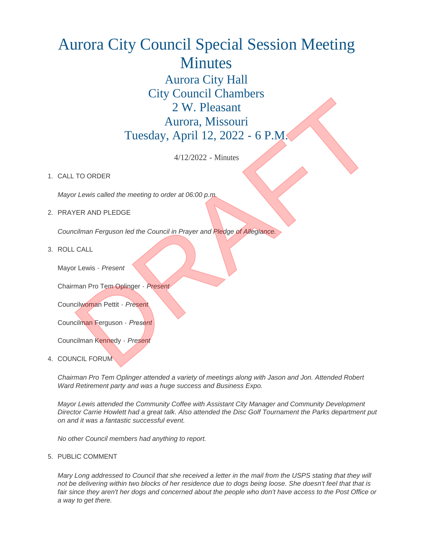## Aurora City Council Special Session Meeting Minutes Aurora City Hall City Council Chambers 2 W. Pleasant Aurora, Missouri Tuesday, April 12, 2022 - 6 P.M. City Council City Releasant<br>
2 W. Pleasant<br>
Aurora, Missouri<br>
Tuesday, April 12, 2022 - 6 P.M.<br>
4/12/2022 - Minutes<br>
4/12/2022 - Minutes<br>
4/12/2022 - Minutes<br>
4/12/2022 - Minutes<br>
4/12/2022 - Minutes<br>
4/12/2022 - Minutes<br>

4/12/2022 - Minutes

## 1. CALL TO ORDER

*Mayor Lewis called the meeting to order at 06:00 p.m.*

## 2. PRAYER AND PLEDGE

*Councilman Ferguson led the Council in Prayer and Pledge of Allegiance.*

ROLL CALL 3.

Mayor Lewis - *Present*

Chairman Pro Tem Oplinger - *Present*

Councilwoman Pettit - *Present*

Councilman Ferguson - *Present*

Councilman Kennedy - *Present*

4. COUNCIL FORUM

*Chairman Pro Tem Oplinger attended a variety of meetings along with Jason and Jon. Attended Robert Ward Retirement party and was a huge success and Business Expo.*

*Mayor Lewis attended the Community Coffee with Assistant City Manager and Community Development Director Carrie Howlett had a great talk. Also attended the Disc Golf Tournament the Parks department put on and it was a fantastic successful event.*

*No other Council members had anything to report.*

5. PUBLIC COMMENT

*Mary Long addressed to Council that she received a letter in the mail from the USPS stating that they will not be delivering within two blocks of her residence due to dogs being loose. She doesn't feel that that is fair since they aren't her dogs and concerned about the people who don't have access to the Post Office or a way to get there.*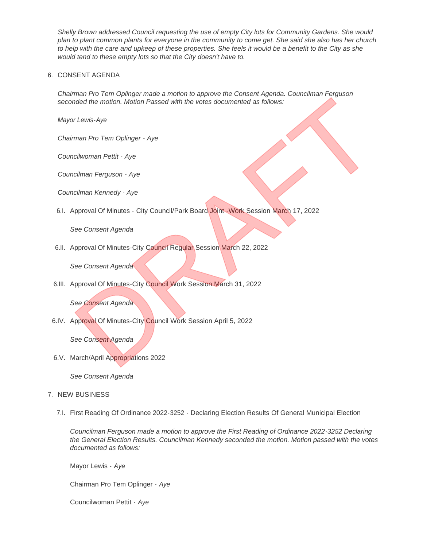*Shelly Brown addressed Council requesting the use of empty City lots for Community Gardens. She would plan to plant common plants for everyone in the community to come get. She said she also has her church to help with the care and upkeep of these properties. She feels it would be a benefit to the City as she would tend to these empty lots so that the City doesn't have to.*

## 6. CONSENT AGENDA

*Chairman Pro Tem Oplinger made a motion to approve the Consent Agenda. Councilman Ferguson seconded the motion. Motion Passed with the votes documented as follows:* man Pro Tem Optinger - Aye<br>
Inded the motion. Motion Passed with the votes documented as follows:<br>
In Lewis-Aye<br>
In an Pro Tem Optinger - Aye<br>
Infinition and Petiti - Aye<br>
Infinition and Petiti - Aye<br>
Infinition and Petiti

*Mayor Lewis-Aye*

*Chairman Pro Tem Oplinger - Aye*

*Councilwoman Pettit - Aye*

*Councilman Ferguson - Aye*

*Councilman Kennedy - Aye*

6.I. Approval Of Minutes - City Council/Park Board Joint - Work Session March 17, 2022

*See Consent Agenda*

6.II. Approval Of Minutes-City Council Regular Session March 22, 2022

*See Consent Agenda*

6.III. Approval Of Minutes-City Council Work Session March 31, 2022

*See Consent Agenda*

6.IV. Approval Of Minutes-City Council Work Session April 5, 2022

*See Consent Agenda*

6.V. March/April Appropriations 2022

*See Consent Agenda*

- 7. NEW BUSINESS
	- First Reading Of Ordinance 2022-3252 Declaring Election Results Of General Municipal Election 7.I.

*Councilman Ferguson made a motion to approve the First Reading of Ordinance 2022-3252 Declaring the General Election Results. Councilman Kennedy seconded the motion. Motion passed with the votes documented as follows:*

Mayor Lewis - *Aye*

Chairman Pro Tem Oplinger - *Aye*

Councilwoman Pettit - *Aye*